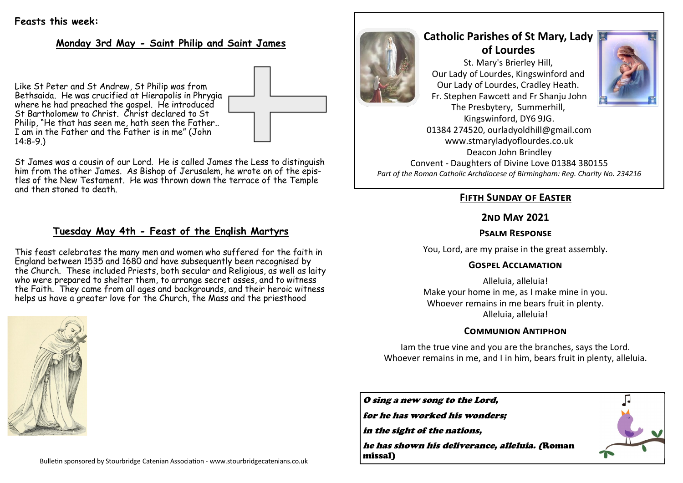## **Feasts this week:**

## **Monday 3rd May - Saint Philip and Saint James**

Like St Peter and St Andrew, St Philip was from Bethsaida. He was crucified at Hierapolis in Phrygia where he had preached the gospel. He introduced St Bartholomew to Christ. Christ declared to St Philip, "He that has seen me, hath seen the Father.. I am in the Father and the Father is in me" (John 14:8-9.)

St James was a cousin of our Lord. He is called James the Less to distinguish him from the other James. As Bishop of Jerusalem, he wrote on of the epistles of the New Testament. He was thrown down the terrace of the Temple and then stoned to death.

## **Tuesday May 4th - Feast of the English Martyrs**

This feast celebrates the many men and women who suffered for the faith in England between 1535 and 1680 and have subsequently been recognised by the Church. These included Priests, both secular and Religious, as well as laity who were prepared to shelter them, to arrange secret asses, and to witness the Faith. They came from all ages and backgrounds, and their heroic witness helps us have a greater love for the Church, the Mass and the priesthood





# **Catholic Parishes of St Mary, Lady of Lourdes**  St. Mary's Brierley Hill, Our Lady of Lourdes, Kingswinford and Our Lady of Lourdes, Cradley Heath.



The Presbytery, Summerhill, Kingswinford, DY6 9JG. 01384 274520, ourladyoldhill@gmail.com www.stmaryladyoflourdes.co.uk Deacon John Brindley Convent - Daughters of Divine Love 01384 380155 *Part of the Roman Catholic Archdiocese of Birmingham: Reg. Charity No. 234216*

Fr. Stephen Fawcett and Fr Shanju John

## **Fifth Sunday of Easter**

### **2nd May 2021**

### **Psalm Response**

You, Lord, are my praise in the great assembly.

#### **Gospel Acclamation**

Alleluia, alleluia! Make your home in me, as I make mine in you. Whoever remains in me bears fruit in plenty. Alleluia, alleluia!

#### **Communion Antiphon**

Iam the true vine and you are the branches, says the Lord. Whoever remains in me, and I in him, bears fruit in plenty, alleluia.

O sing a new song to the Lord, for he has worked his wonders; in the sight of the nations, he has shown his deliverance, alleluia. (Roman missal)